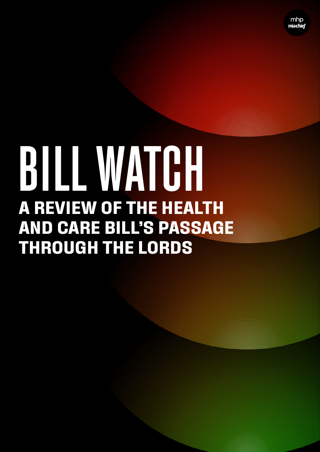# **A REVIEW OF THE HEALTH AND CARE BILL'S PASSAGE THROUGH THE LORDS** BILL WATCH

MHP Mischell 1988 (1988) and the Mischell 1989 (1988) and the Mischell 1989 (1989) and the Mischell 1989 (1989)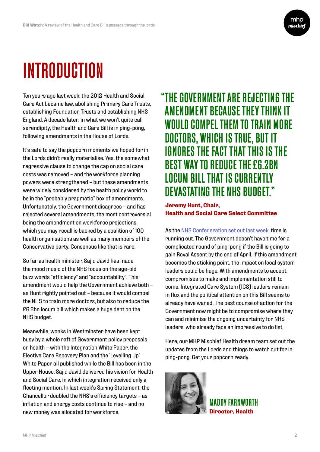

# INTRODUCTION

Ten years ago last week, the 2012 Health and Social Care Act became law, abolishing Primary Care Trusts, establishing Foundation Trusts and establishing NHS England. A decade later, in what we won't quite call serendipity, the Health and Care Bill is in ping-pong, following amendments in the House of Lords.

It's safe to say the popcorn moments we hoped for in the Lords didn't really materialise. Yes, the somewhat regressive clause to change the cap on social care costs was removed – and the workforce planning powers were strengthened – but these amendments were widely considered by the health policy world to be in the "probably pragmatic" box of amendments. Unfortunately, the Government disagrees – and has rejected several amendments, the most controversial being the amendment on workforce projections, which you may recall is backed by a coalition of 100 health organisations as well as many members of the Conservative party. Consensus like that is rare.

So far as health minister, Sajid Javid has made the mood music of the NHS focus on the age-old buzz words "efficiency" and "accountability". This amendment would help the Government achieve both – as Hunt rightly pointed out – because it would compel the NHS to train more doctors, but also to reduce the £6.2bn locum bill which makes a huge dent on the NHS budget.

Meanwhile, wonks in Westminster have been kept busy by a whole raft of Government policy proposals on health – with the Integration White Paper, the Elective Care Recovery Plan and the 'Levelling Up' White Paper all published while the Bill has been in the Upper House. Sajid Javid delivered his vision for Health and Social Care, in which integration received only a fleeting mention. In last week's Spring Statement, the Chancellor doubled the NHS's efficiency targets – as inflation and energy costs continue to rise – and no new money was allocated for workforce.

#### "THE GOVERNMENT ARE REJECTING THE AMENDMENT BECAUSE THEY THINK IT WOULD COMPEL THEM TO TRAIN MORE DOCTORS, WHICH IS TRUE, BUT IT IGNORES THE FACT THAT THIS IS THE BEST WAY TO REDUCE THE £6.2BN LOCUM BILL THAT IS CURRENTLY DEVASTATING THE NHS BUDGET."

 **Jeremy Hunt, Chair, Health and Social Care Select Committee**

As the [NHS Confederation set out last week,](https://www.nhsconfed.org/articles/health-and-care-bill-far-done-deal) time is running out. The Government doesn't have time for a complicated round of ping-pong if the Bill is going to gain Royal Assent by the end of April. If this amendment becomes the sticking point, the impact on local system leaders could be huge. With amendments to accept, compromises to make and implementation still to come, Integrated Care System (ICS) leaders remain in flux and the political attention on this Bill seems to already have waned. The best course of action for the Government now might be to compromise where they can and minimise the ongoing uncertainty for NHS leaders, who already face an impressive to do list.

Here, our MHP Mischief Health dream team set out the updates from the Lords and things to watch out for in ping-pong. Get your popcorn ready.



MADDY FARNWORTH **Director, Health**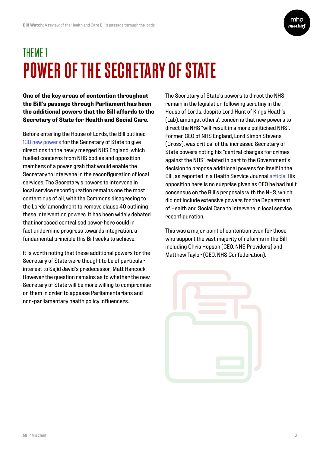

### THEME 1 POWER OF THE SECRETARY OF STATE

**One of the key areas of contention throughout the Bill's passage through Parliament has been the additional powers that the Bill affords to the Secretary of State for Health and Social Care.**

Before entering the House of Lords, the Bill outlined [138 new powers](https://www.bmj.com/content/374/bmj.n2139) for the Secretary of State to give directions to the newly merged NHS England, which fuelled concerns from NHS bodies and opposition members of a power grab that would enable the Secretary to intervene in the reconfiguration of local services. The Secretary's powers to intervene in local service reconfiguration remains one the most contentious of all, with the Commons disagreeing to the Lords' amendment to remove clause 40 outlining these intervention powers. It has been widely debated that increased centralised power here could in fact undermine progress towards integration, a fundamental principle this Bill seeks to achieve.

It is worth noting that these additional powers for the Secretary of State were thought to be of particular interest to Sajid Javid's predecessor, Matt Hancock. However the question remains as to whether the new Secretary of State will be more willing to compromise on them in order to appease Parliamentarians and non-parliamentary health policy influencers.

The Secretary of State's powers to direct the NHS remain in the legislation following scrutiny in the House of Lords, despite Lord Hunt of Kings Heath's (Lab), amongst others', concerns that new powers to direct the NHS "will result in a more politicised NHS". Former CEO of NHS England, Lord Simon Stevens (Cross), was critical of the increased Secretary of State powers noting his "central charges for crimes against the NHS" related in part to the Government's decision to propose additional powers for itself in the Bill, as reported in a Health Service Journal [article.](https://www.hsj.co.uk/integrated-care/the-integrator-parliament-is-being-treated-with-absolute-contempt-by-nhs-england/7031788.article?storyCode=7031788) His opposition here is no surprise given as CEO he had built consensus on the Bill's proposals with the NHS, which did not include extensive powers for the Department of Health and Social Care to intervene in local service reconfiguration.

This was a major point of contention even for those who support the vast majority of reforms in the Bill including Chris Hopson (CEO, NHS Providers) and Matthew Taylor (CEO, NHS Confederation).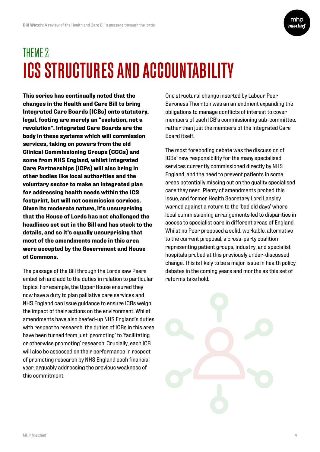

### THEME 2 ICS STRUCTURES AND ACCOUNTABILITY

**This series has continually noted that the changes in the Health and Care Bill to bring Integrated Care Boards (ICBs) onto statutory, legal, footing are merely an "evolution, not a revolution". Integrated Care Boards are the body in these systems which will commission services, taking on powers from the old Clinical Commissioning Groups (CCGs) and some from NHS England, whilst Integrated Care Partnerships (ICPs) will also bring in other bodies like local authorities and the voluntary sector to make an integrated plan for addressing health needs within the ICS footprint, but will not commission services. Given its moderate nature, it's unsurprising that the House of Lords has not challenged the headlines set out in the Bill and has stuck to the details, and so it's equally unsurprising that most of the amendments made in this area were accepted by the Government and House of Commons.**

The passage of the Bill through the Lords saw Peers embellish and add to the duties in relation to particular topics. For example, the Upper House ensured they now have a duty to plan palliative care services and NHS England can issue guidance to ensure ICBs weigh the impact of their actions on the environment. Whilst amendments have also beefed-up NHS England's duties with respect to research, the duties of ICBs in this area have been turned from just 'promoting' to 'facilitating or otherwise promoting' research. Crucially, each ICB will also be assessed on their performance in respect of promoting research by NHS England each financial year, arguably addressing the previous weakness of this commitment.

One structural change inserted by Labour Peer Baroness Thornton was an amendment expanding the obligations to manage conflicts of interest to cover members of each ICB's commissioning sub-committee, rather than just the members of the Integrated Care Board itself.

The most foreboding debate was the discussion of ICBs' new responsibility for the many specialised services currently commissioned directly by NHS England, and the need to prevent patients in some areas potentially missing out on the quality specialised care they need. Plenty of amendments probed this issue, and former Health Secretary Lord Lansley warned against a return to the 'bad old days' where local commissioning arrangements led to disparities in access to specialist care in different areas of England. Whilst no Peer proposed a solid, workable, alternative to the current proposal, a cross-party coalition representing patient groups, industry, and specialist hospitals probed at this previously under-discussed change. This is likely to be a major issue in health policy debates in the coming years and months as this set of reforms take hold.

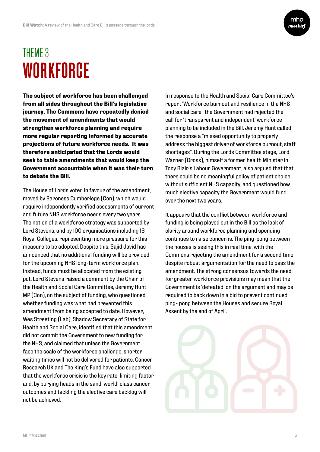

#### THEME 3 **WORKFORCE**

**The subject of workforce has been challenged from all sides throughout the Bill's legislative journey. The Commons have repeatedly denied the movement of amendments that would strengthen workforce planning and require more regular reporting informed by accurate projections of future workforce needs. It was therefore anticipated that the Lords would seek to table amendments that would keep the Government accountable when it was their turn to debate the Bill.** 

The House of Lords voted in favour of the amendment, moved by Baroness Cumberlege (Con), which would require independently verified assessments of current and future NHS workforce needs every two years. The notion of a workforce strategy was supported by Lord Stevens, and by 100 organisations including 16 Royal Colleges, representing more pressure for this measure to be adopted. Despite this, Sajid Javid has announced that no additional funding will be provided for the upcoming NHS long-term workforce plan. Instead, funds must be allocated from the existing pot. Lord Stevens raised a comment by the Chair of the Health and Social Care Committee, Jeremy Hunt MP (Con), on the subject of funding, who questioned whether funding was what had prevented this amendment from being accepted to date. However, Wes Streeting (Lab), Shadow Secretary of State for Health and Social Care, identified that this amendment did not commit the Government to new funding for the NHS, and claimed that unless the Government face the scale of the workforce challenge, shorter waiting times will not be delivered for patients. Cancer Research UK and The King's Fund have also supported that the workforce crisis is the key rate-limiting factor and, by burying heads in the sand, world-class cancer outcomes and tackling the elective care backlog will not be achieved.

In response to the Health and Social Care Committee's report 'Workforce burnout and resilience in the NHS and social care', the Government had rejected the call for 'transparent and independent' workforce planning to be included in the Bill. Jeremy Hunt called the response a "missed opportunity to properly address the biggest driver of workforce burnout, staff shortages". During the Lords Committee stage, Lord Warner (Cross), himself a former health Minister in Tony Blair's Labour Government, also argued that that there could be no meaningful policy of patient choice without sufficient NHS capacity, and questioned how much elective capacity the Government would fund over the next two years.

It appears that the conflict between workforce and funding is being played out in the Bill as the lack of clarity around workforce planning and spending continues to raise concerns. The ping-pong between the houses is seeing this in real time, with the Commons rejecting the amendment for a second time despite robust argumentation for the need to pass the amendment. The strong consensus towards the need for greater workforce provisions may mean that the Government is 'defeated' on the argument and may be required to back down in a bid to prevent continued ping- pong between the Houses and secure Royal Assent by the end of April.

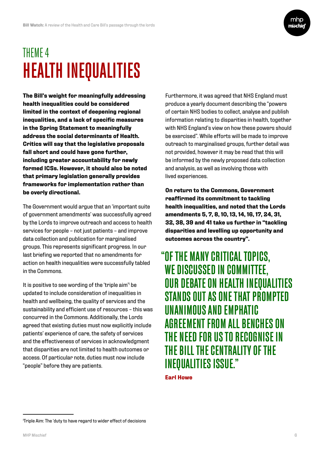

#### THEME 4 HEALTH INEQUALITIES

**The Bill's weight for meaningfully addressing health inequalities could be considered limited in the context of deepening regional inequalities, and a lack of specific measures in the Spring Statement to meaningfully address the social determinants of Health. Critics will say that the legislative proposals fall short and could have gone further, including greater accountability for newly formed ICSs. However, it should also be noted that primary legislation generally provides frameworks for implementation rather than be overly directional.**

The Government would argue that an 'important suite of government amendments' was successfully agreed by the Lords to improve outreach and access to health services for people - not just patients - and improve data collection and publication for marginalised groups. This represents significant progress. In our last briefing we reported that no amendments for action on health inequalities were successfully tabled in the Commons.

It is positive to see wording of the 'triple aim'<sup>1</sup> be updated to include consideration of inequalities in health and wellbeing, the quality of services and the sustainability and efficient use of resources – this was concurred in the Commons. Additionally, the Lords agreed that existing duties must now explicitly include patients' experience of care, the safety of services and the effectiveness of services in acknowledgment that disparities are not limited to health outcomes or access. Of particular note, duties must now include "people" before they are patients.

Furthermore, it was agreed that NHS England must produce a yearly document describing the "powers of certain NHS bodies to collect, analyse and publish information relating to disparities in health, together with NHS England's view on how these powers should be exercised". While efforts will be made to improve outreach to marginalised groups, further detail was not provided, however it may be read that this will be informed by the newly proposed data collection and analysis, as well as involving those with lived experiences.

**On return to the Commons, Government reaffirmed its commitment to tackling health inequalities, and noted that the Lords amendments 5, 7, 8, 10, 13, 14, 16, 17, 24, 31, 32, 38, 39 and 41 take us further in "tackling disparities and levelling up opportunity and outcomes across the country".** 

"OF THE MANY CRITICAL TOPICS, WE DISCUSSED IN COMMITTEE, OUR DEBATE ON HEALTH INEQUALITIES STANDS OUT AS ONE THAT PROMPTED UNANIMOUS AND EMPHATIC AGREEMENT FROM ALL BENCHES ON THE NEED FOR US TO RECOGNISE IN THE BILL THE CENTRALITY OF THE INEQUALITIES ISSUE."

 **Earl Howe**

<sup>1</sup> Triple Aim: The 'duty to have regard to wider effect of decisions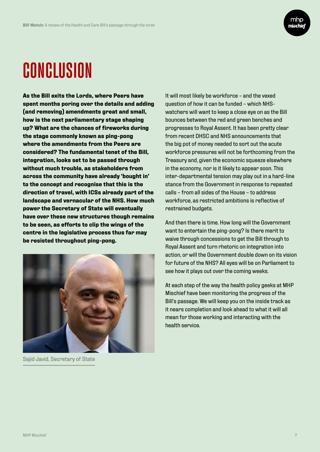

## CONCLUSION

**As the Bill exits the Lords, where Peers have spent months poring over the details and adding (and removing) amendments great and small, how is the next parliamentary stage shaping up? What are the chances of fireworks during the stage commonly known as ping-pong where the amendments from the Peers are considered? The fundamental tenet of the Bill, integration, looks set to be passed through without much trouble, as stakeholders from across the community have already 'bought in' to the concept and recognise that this is the direction of travel, with ICSs already part of the landscape and vernacular of the NHS. How much power the Secretary of State will eventually have over these new structures though remains to be seen, as efforts to clip the wings of the centre in the legislative process thus far may be resisted throughout ping-pong.** 



Sajid Javid, Secretary of State

It will most likely be workforce – and the vexed question of how it can be funded – which NHSwatchers will want to keep a close eye on as the Bill bounces between the red and green benches and progresses to Royal Assent. It has been pretty clear from recent DHSC and NHS announcements that the big pot of money needed to sort out the acute workforce pressures will not be forthcoming from the Treasury and, given the economic squeeze elsewhere in the economy, nor is it likely to appear soon. This inter-departmental tension may play out in a hard-line stance from the Government in response to repeated calls – from all sides of the House – to address workforce, as restricted ambitions is reflective of restrained budgets.

And then there is time. How long will the Government want to entertain the ping-pong? Is there merit to waive through concessions to get the Bill through to Royal Assent and turn rhetoric on integration into action, or will the Government double down on its vision for future of the NHS? All eyes will be on Parliament to see how it plays out over the coming weeks.

At each step of the way the health policy geeks at MHP Mischief have been monitoring the progress of the Bill's passage. We will keep you on the inside track as it nears completion and look ahead to what it will all mean for those working and interacting with the health service.